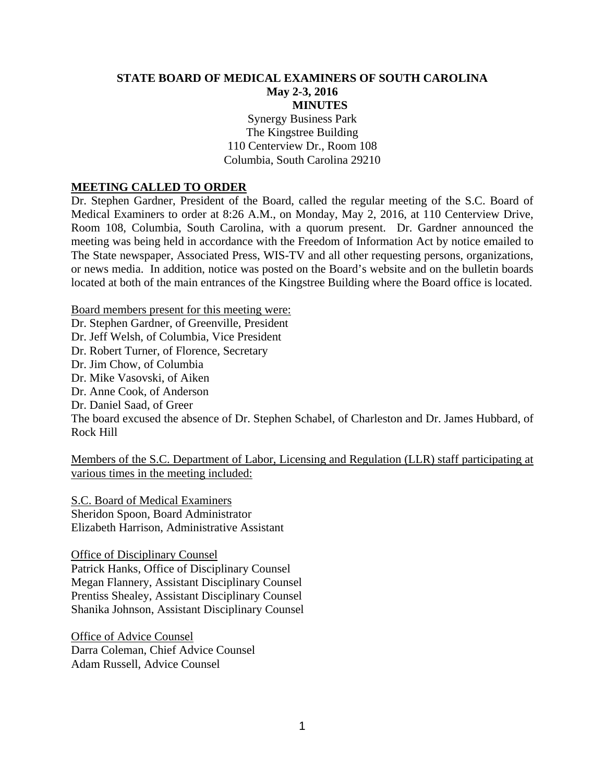#### **STATE BOARD OF MEDICAL EXAMINERS OF SOUTH CAROLINA May 2-3, 2016 MINUTES**

Synergy Business Park The Kingstree Building 110 Centerview Dr., Room 108 Columbia, South Carolina 29210

#### **MEETING CALLED TO ORDER**

Dr. Stephen Gardner, President of the Board, called the regular meeting of the S.C. Board of Medical Examiners to order at 8:26 A.M., on Monday, May 2, 2016, at 110 Centerview Drive, Room 108, Columbia, South Carolina, with a quorum present. Dr. Gardner announced the meeting was being held in accordance with the Freedom of Information Act by notice emailed to The State newspaper, Associated Press, WIS-TV and all other requesting persons, organizations, or news media. In addition, notice was posted on the Board's website and on the bulletin boards located at both of the main entrances of the Kingstree Building where the Board office is located.

Board members present for this meeting were: Dr. Stephen Gardner, of Greenville, President Dr. Jeff Welsh, of Columbia, Vice President Dr. Robert Turner, of Florence, Secretary Dr. Jim Chow, of Columbia Dr. Mike Vasovski, of Aiken Dr. Anne Cook, of Anderson Dr. Daniel Saad, of Greer The board excused the absence of Dr. Stephen Schabel, of Charleston and Dr. James Hubbard, of Rock Hill

Members of the S.C. Department of Labor, Licensing and Regulation (LLR) staff participating at various times in the meeting included:

S.C. Board of Medical Examiners Sheridon Spoon, Board Administrator Elizabeth Harrison, Administrative Assistant

Office of Disciplinary Counsel Patrick Hanks, Office of Disciplinary Counsel Megan Flannery, Assistant Disciplinary Counsel Prentiss Shealey, Assistant Disciplinary Counsel Shanika Johnson, Assistant Disciplinary Counsel

Office of Advice Counsel Darra Coleman, Chief Advice Counsel Adam Russell, Advice Counsel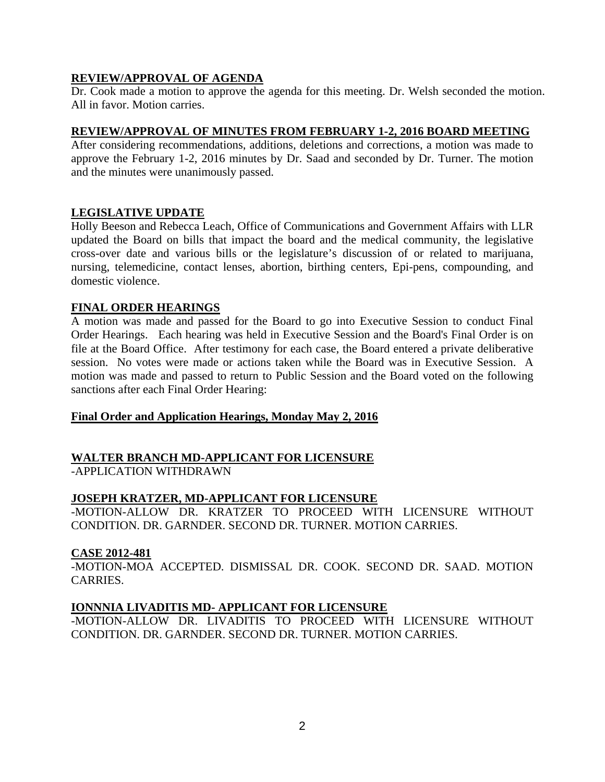## **REVIEW/APPROVAL OF AGENDA**

Dr. Cook made a motion to approve the agenda for this meeting. Dr. Welsh seconded the motion. All in favor. Motion carries.

### **REVIEW/APPROVAL OF MINUTES FROM FEBRUARY 1-2, 2016 BOARD MEETING**

After considering recommendations, additions, deletions and corrections, a motion was made to approve the February 1-2, 2016 minutes by Dr. Saad and seconded by Dr. Turner. The motion and the minutes were unanimously passed.

### **LEGISLATIVE UPDATE**

Holly Beeson and Rebecca Leach, Office of Communications and Government Affairs with LLR updated the Board on bills that impact the board and the medical community, the legislative cross-over date and various bills or the legislature's discussion of or related to marijuana, nursing, telemedicine, contact lenses, abortion, birthing centers, Epi-pens, compounding, and domestic violence.

#### **FINAL ORDER HEARINGS**

A motion was made and passed for the Board to go into Executive Session to conduct Final Order Hearings. Each hearing was held in Executive Session and the Board's Final Order is on file at the Board Office. After testimony for each case, the Board entered a private deliberative session. No votes were made or actions taken while the Board was in Executive Session. A motion was made and passed to return to Public Session and the Board voted on the following sanctions after each Final Order Hearing:

### **Final Order and Application Hearings, Monday May 2, 2016**

### **WALTER BRANCH MD-APPLICANT FOR LICENSURE**

-APPLICATION WITHDRAWN

### **JOSEPH KRATZER, MD-APPLICANT FOR LICENSURE**

-MOTION-ALLOW DR. KRATZER TO PROCEED WITH LICENSURE WITHOUT CONDITION. DR. GARNDER. SECOND DR. TURNER. MOTION CARRIES.

### **CASE 2012-481**

-MOTION-MOA ACCEPTED. DISMISSAL DR. COOK. SECOND DR. SAAD. MOTION CARRIES.

### **IONNNIA LIVADITIS MD- APPLICANT FOR LICENSURE**

-MOTION-ALLOW DR. LIVADITIS TO PROCEED WITH LICENSURE WITHOUT CONDITION. DR. GARNDER. SECOND DR. TURNER. MOTION CARRIES.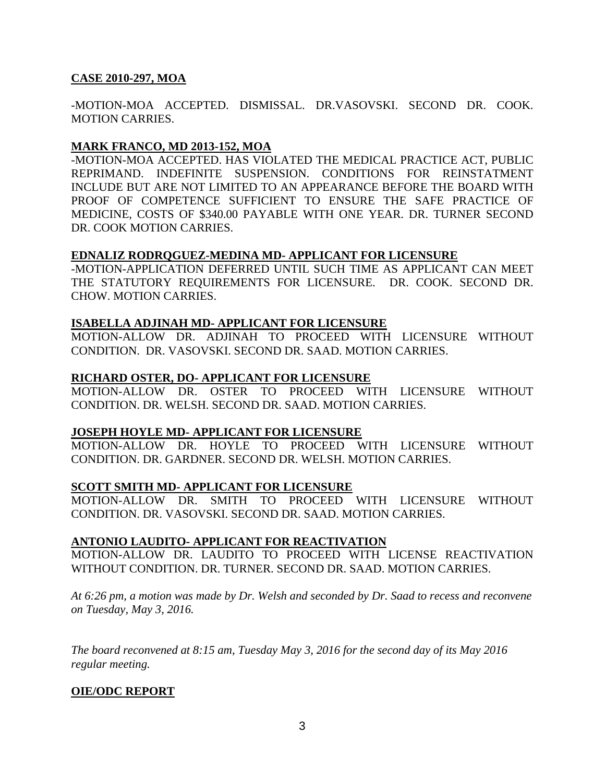### **CASE 2010-297, MOA**

-MOTION-MOA ACCEPTED. DISMISSAL. DR.VASOVSKI. SECOND DR. COOK. MOTION CARRIES.

### **MARK FRANCO, MD 2013-152, MOA**

-MOTION-MOA ACCEPTED. HAS VIOLATED THE MEDICAL PRACTICE ACT, PUBLIC REPRIMAND. INDEFINITE SUSPENSION. CONDITIONS FOR REINSTATMENT INCLUDE BUT ARE NOT LIMITED TO AN APPEARANCE BEFORE THE BOARD WITH PROOF OF COMPETENCE SUFFICIENT TO ENSURE THE SAFE PRACTICE OF MEDICINE, COSTS OF \$340.00 PAYABLE WITH ONE YEAR. DR. TURNER SECOND DR. COOK MOTION CARRIES.

### **EDNALIZ RODRQGUEZ-MEDINA MD- APPLICANT FOR LICENSURE**

-MOTION-APPLICATION DEFERRED UNTIL SUCH TIME AS APPLICANT CAN MEET THE STATUTORY REQUIREMENTS FOR LICENSURE. DR. COOK. SECOND DR. CHOW. MOTION CARRIES.

### **ISABELLA ADJINAH MD- APPLICANT FOR LICENSURE**

MOTION-ALLOW DR. ADJINAH TO PROCEED WITH LICENSURE WITHOUT CONDITION. DR. VASOVSKI. SECOND DR. SAAD. MOTION CARRIES.

### **RICHARD OSTER, DO- APPLICANT FOR LICENSURE**

MOTION-ALLOW DR. OSTER TO PROCEED WITH LICENSURE WITHOUT CONDITION. DR. WELSH. SECOND DR. SAAD. MOTION CARRIES.

### **JOSEPH HOYLE MD- APPLICANT FOR LICENSURE**

MOTION-ALLOW DR. HOYLE TO PROCEED WITH LICENSURE WITHOUT CONDITION. DR. GARDNER. SECOND DR. WELSH. MOTION CARRIES.

### **SCOTT SMITH MD- APPLICANT FOR LICENSURE**

MOTION-ALLOW DR. SMITH TO PROCEED WITH LICENSURE WITHOUT CONDITION. DR. VASOVSKI. SECOND DR. SAAD. MOTION CARRIES.

### **ANTONIO LAUDITO- APPLICANT FOR REACTIVATION**

MOTION-ALLOW DR. LAUDITO TO PROCEED WITH LICENSE REACTIVATION WITHOUT CONDITION. DR. TURNER. SECOND DR. SAAD. MOTION CARRIES.

*At 6:26 pm, a motion was made by Dr. Welsh and seconded by Dr. Saad to recess and reconvene on Tuesday, May 3, 2016.* 

*The board reconvened at 8:15 am, Tuesday May 3, 2016 for the second day of its May 2016 regular meeting.* 

# **OIE/ODC REPORT**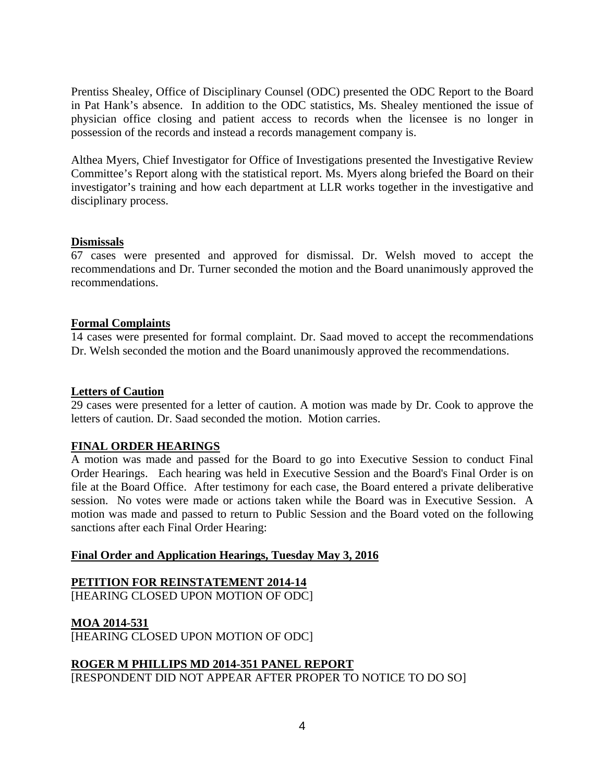Prentiss Shealey, Office of Disciplinary Counsel (ODC) presented the ODC Report to the Board in Pat Hank's absence. In addition to the ODC statistics, Ms. Shealey mentioned the issue of physician office closing and patient access to records when the licensee is no longer in possession of the records and instead a records management company is.

Althea Myers, Chief Investigator for Office of Investigations presented the Investigative Review Committee's Report along with the statistical report. Ms. Myers along briefed the Board on their investigator's training and how each department at LLR works together in the investigative and disciplinary process.

### **Dismissals**

67 cases were presented and approved for dismissal. Dr. Welsh moved to accept the recommendations and Dr. Turner seconded the motion and the Board unanimously approved the recommendations.

### **Formal Complaints**

14 cases were presented for formal complaint. Dr. Saad moved to accept the recommendations Dr. Welsh seconded the motion and the Board unanimously approved the recommendations.

### **Letters of Caution**

29 cases were presented for a letter of caution. A motion was made by Dr. Cook to approve the letters of caution. Dr. Saad seconded the motion. Motion carries.

### **FINAL ORDER HEARINGS**

A motion was made and passed for the Board to go into Executive Session to conduct Final Order Hearings. Each hearing was held in Executive Session and the Board's Final Order is on file at the Board Office. After testimony for each case, the Board entered a private deliberative session. No votes were made or actions taken while the Board was in Executive Session. A motion was made and passed to return to Public Session and the Board voted on the following sanctions after each Final Order Hearing:

# **Final Order and Application Hearings, Tuesday May 3, 2016**

# **PETITION FOR REINSTATEMENT 2014-14**

[HEARING CLOSED UPON MOTION OF ODC]

# **MOA 2014-531**

[HEARING CLOSED UPON MOTION OF ODC]

# **ROGER M PHILLIPS MD 2014-351 PANEL REPORT**

[RESPONDENT DID NOT APPEAR AFTER PROPER TO NOTICE TO DO SO]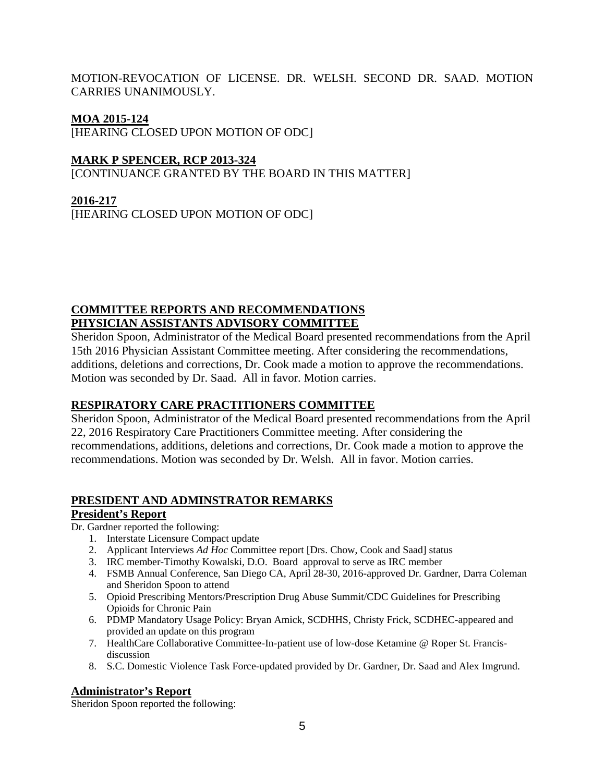MOTION-REVOCATION OF LICENSE. DR. WELSH. SECOND DR. SAAD. MOTION CARRIES UNANIMOUSLY.

## **MOA 2015-124**

[HEARING CLOSED UPON MOTION OF ODC]

## **MARK P SPENCER, RCP 2013-324**

[CONTINUANCE GRANTED BY THE BOARD IN THIS MATTER]

# **2016-217**

[HEARING CLOSED UPON MOTION OF ODC]

# **COMMITTEE REPORTS AND RECOMMENDATIONS PHYSICIAN ASSISTANTS ADVISORY COMMITTEE**

Sheridon Spoon, Administrator of the Medical Board presented recommendations from the April 15th 2016 Physician Assistant Committee meeting. After considering the recommendations, additions, deletions and corrections, Dr. Cook made a motion to approve the recommendations. Motion was seconded by Dr. Saad. All in favor. Motion carries.

# **RESPIRATORY CARE PRACTITIONERS COMMITTEE**

Sheridon Spoon, Administrator of the Medical Board presented recommendations from the April 22, 2016 Respiratory Care Practitioners Committee meeting. After considering the recommendations, additions, deletions and corrections, Dr. Cook made a motion to approve the recommendations. Motion was seconded by Dr. Welsh. All in favor. Motion carries.

# **PRESIDENT AND ADMINSTRATOR REMARKS**

### **President's Report**

Dr. Gardner reported the following:

- 1. Interstate Licensure Compact update
- 2. Applicant Interviews *Ad Hoc* Committee report [Drs. Chow, Cook and Saad] status
- 3. IRC member-Timothy Kowalski, D.O. Board approval to serve as IRC member
- 4. FSMB Annual Conference, San Diego CA, April 28-30, 2016-approved Dr. Gardner, Darra Coleman and Sheridon Spoon to attend
- 5. Opioid Prescribing Mentors/Prescription Drug Abuse Summit/CDC Guidelines for Prescribing Opioids for Chronic Pain
- 6. PDMP Mandatory Usage Policy: Bryan Amick, SCDHHS, Christy Frick, SCDHEC-appeared and provided an update on this program
- 7. HealthCare Collaborative Committee-In-patient use of low-dose Ketamine @ Roper St. Francisdiscussion
- 8. S.C. Domestic Violence Task Force-updated provided by Dr. Gardner, Dr. Saad and Alex Imgrund.

### **Administrator's Report**

Sheridon Spoon reported the following: